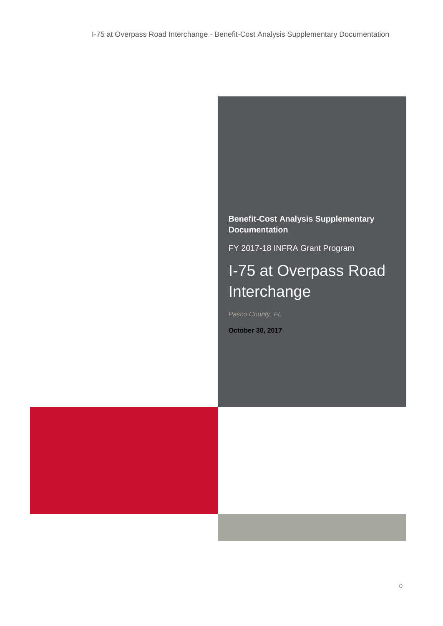**Benefit-Cost Analysis Supplementary Documentation**

FY 2017-18 INFRA Grant Program

# I-75 at Overpass Road Interchange

*Pasco County, FL*

**October 30, 2017**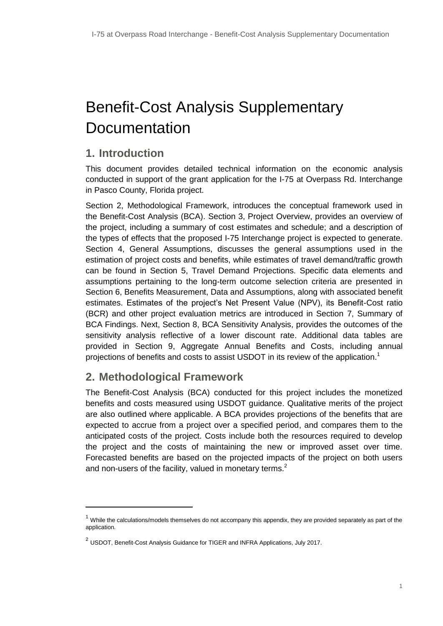# Benefit-Cost Analysis Supplementary **Documentation**

# **1. Introduction**

This document provides detailed technical information on the economic analysis conducted in support of the grant application for the I-75 at Overpass Rd. Interchange in Pasco County, Florida project.

Section [2, Methodological Framework,](#page-1-0) introduces the conceptual framework used in the Benefit-Cost Analysis (BCA). Section [3, Project Overview,](#page-2-0) provides an overview of the project, including a summary of cost estimates and schedule; and a description of the types of effects that the proposed I-75 Interchange project is expected to generate. Section [4,](#page-6-0) [General Assumptions,](#page-6-0) discusses the general assumptions used in the estimation of project costs and benefits, while estimates of travel demand/traffic growth can be found in Section [5, Travel Demand](#page-6-1) Projections. Specific data elements and assumptions pertaining to the long-term outcome selection criteria are presented in Section [6, Benefits Measurement, Data and Assumptions,](#page-7-0) along with associated benefit estimates. Estimates of the project's Net Present Value (NPV), its Benefit-Cost ratio (BCR) and other project evaluation metrics are introduced in Section [7, Summary of](#page-12-0)  [BCA F](#page-12-0)indings. Next, Section [8, BCA Sensitivity Analysis,](#page-13-0) provides the outcomes of the sensitivity analysis reflective of a lower discount rate. Additional data tables are provided in Section [9,](#page-15-0) [Aggregate Annual Benefits and Costs,](#page-15-0) including annual projections of benefits and costs to assist USDOT in its review of the application.<sup>1</sup>

## <span id="page-1-0"></span>**2. Methodological Framework**

-

The Benefit-Cost Analysis (BCA) conducted for this project includes the monetized benefits and costs measured using USDOT guidance. Qualitative merits of the project are also outlined where applicable. A BCA provides projections of the benefits that are expected to accrue from a project over a specified period, and compares them to the anticipated costs of the project. Costs include both the resources required to develop the project and the costs of maintaining the new or improved asset over time. Forecasted benefits are based on the projected impacts of the project on both users and non-users of the facility, valued in monetary terms. $2$ 

 $1$  While the calculations/models themselves do not accompany this appendix, they are provided separately as part of the application.

 $^2$  USDOT, Benefit-Cost Analysis Guidance for TIGER and INFRA Applications, July 2017.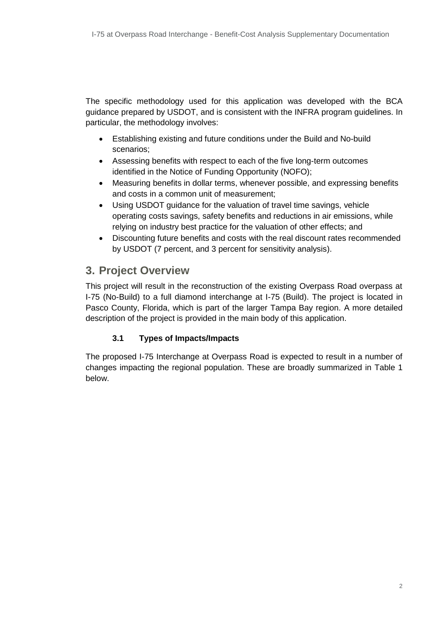The specific methodology used for this application was developed with the BCA guidance prepared by USDOT, and is consistent with the INFRA program guidelines. In particular, the methodology involves:

- Establishing existing and future conditions under the Build and No-build scenarios;
- Assessing benefits with respect to each of the five long-term outcomes identified in the Notice of Funding Opportunity (NOFO);
- Measuring benefits in dollar terms, whenever possible, and expressing benefits and costs in a common unit of measurement;
- Using USDOT guidance for the valuation of travel time savings, vehicle operating costs savings, safety benefits and reductions in air emissions, while relying on industry best practice for the valuation of other effects; and
- Discounting future benefits and costs with the real discount rates recommended by USDOT (7 percent, and 3 percent for sensitivity analysis).

## <span id="page-2-0"></span>**3. Project Overview**

This project will result in the reconstruction of the existing Overpass Road overpass at I-75 (No-Build) to a full diamond interchange at I-75 (Build). The project is located in Pasco County, Florida, which is part of the larger Tampa Bay region. A more detailed description of the project is provided in the main body of this application.

## **3.1 Types of Impacts/Impacts**

The proposed I-75 Interchange at Overpass Road is expected to result in a number of changes impacting the regional population. These are broadly summarized in Table 1 below.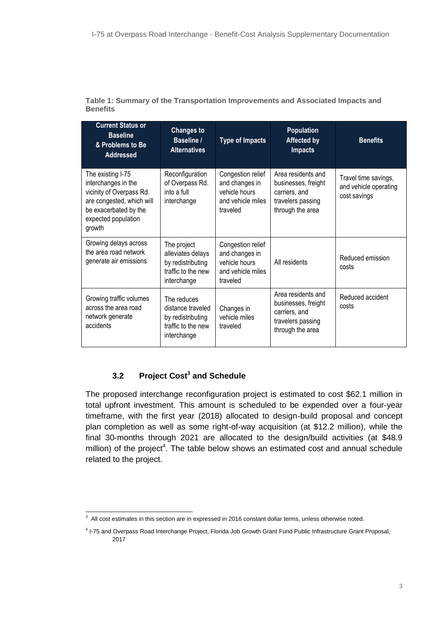| <b>Current Status or</b><br><b>Baseline</b><br>& Problems to Be<br><b>Addressed</b>                                                                         | <b>Changes to</b><br><b>Baseline /</b><br><b>Alternatives</b>                              | <b>Type of Impacts</b>                                                                | <b>Population</b><br><b>Affected by</b><br><b>Impacts</b>                                           | <b>Benefits</b>                                               |
|-------------------------------------------------------------------------------------------------------------------------------------------------------------|--------------------------------------------------------------------------------------------|---------------------------------------------------------------------------------------|-----------------------------------------------------------------------------------------------------|---------------------------------------------------------------|
| The existing I-75<br>interchanges in the<br>vicinity of Overpass Rd.<br>are congested, which will<br>be exacerbated by the<br>expected population<br>growth | Reconfiguration<br>of Overpass Rd.<br>into a full<br>interchange                           | Congestion relief<br>and changes in<br>vehicle hours<br>and vehicle miles<br>traveled | Area residents and<br>businesses, freight<br>carriers, and<br>travelers passing<br>through the area | Travel time savings,<br>and vehicle operating<br>cost savings |
| Growing delays across<br>the area road network<br>generate air emissions                                                                                    | The project<br>alleviates delays<br>by redistributing<br>traffic to the new<br>interchange | Congestion relief<br>and changes in<br>vehicle hours<br>and vehicle miles<br>traveled | All residents                                                                                       | Reduced emission<br>costs                                     |
| Growing traffic volumes<br>across the area road<br>network generate<br>accidents                                                                            | The reduces<br>distance traveled<br>by redistributing<br>traffic to the new<br>interchange | Changes in<br>vehicle miles<br>traveled                                               | Area residents and<br>businesses, freight<br>carriers, and<br>travelers passing<br>through the area | Reduced accident<br>costs                                     |

**Table 1: Summary of the Transportation Improvements and Associated Impacts and Benefits**

## **3.2 Project Cost<sup>3</sup> and Schedule**

The proposed interchange reconfiguration project is estimated to cost \$62.1 million in total upfront investment. This amount is scheduled to be expended over a four-year timeframe, with the first year (2018) allocated to design-build proposal and concept plan completion as well as some right-of-way acquisition (at \$12.2 million), while the final 30-months through 2021 are allocated to the design/build activities (at \$48.9 million) of the project<sup>4</sup>. The table below shows an estimated cost and annual schedule related to the project.

 3 All cost estimates in this section are in expressed in 2016 constant dollar terms, unless otherwise noted.

<sup>4</sup> I-75 and Overpass Road Interchange Project, Florida Job Growth Grant Fund Public Infrastructure Grant Proposal, 2017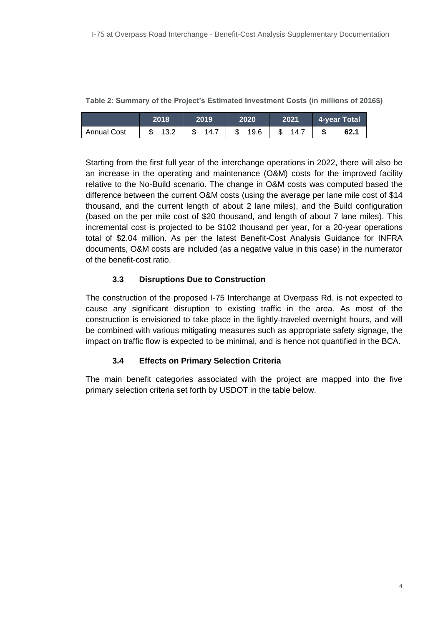|                    | 2018   | 2019 | 2020                                   | 2021 4-year Total |
|--------------------|--------|------|----------------------------------------|-------------------|
| <b>Annual Cost</b> | \$13.2 |      | $\frac{1}{2}$ 14.7   \$ 19.6   \$ 14.7 | \$<br>62.1        |

**Table 2: Summary of the Project's Estimated Investment Costs (in millions of 2016\$)**

Starting from the first full year of the interchange operations in 2022, there will also be an increase in the operating and maintenance (O&M) costs for the improved facility relative to the No-Build scenario. The change in O&M costs was computed based the difference between the current O&M costs (using the average per lane mile cost of \$14 thousand, and the current length of about 2 lane miles), and the Build configuration (based on the per mile cost of \$20 thousand, and length of about 7 lane miles). This incremental cost is projected to be \$102 thousand per year, for a 20-year operations total of \$2.04 million. As per the latest Benefit-Cost Analysis Guidance for INFRA documents, O&M costs are included (as a negative value in this case) in the numerator of the benefit-cost ratio.

#### **3.3 Disruptions Due to Construction**

The construction of the proposed I-75 Interchange at Overpass Rd. is not expected to cause any significant disruption to existing traffic in the area. As most of the construction is envisioned to take place in the lightly-traveled overnight hours, and will be combined with various mitigating measures such as appropriate safety signage, the impact on traffic flow is expected to be minimal, and is hence not quantified in the BCA.

## **3.4 Effects on Primary Selection Criteria**

The main benefit categories associated with the project are mapped into the five primary selection criteria set forth by USDOT in the table below.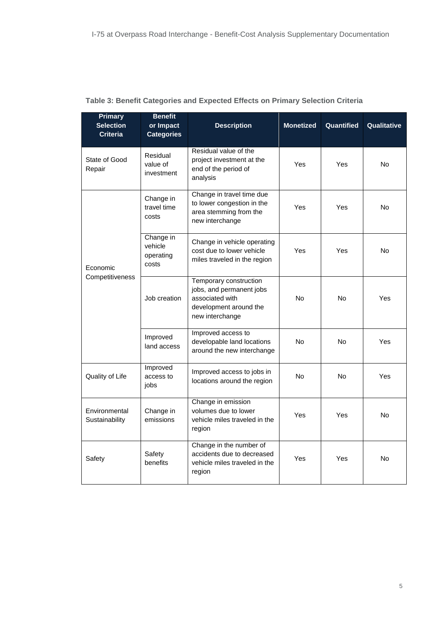| <b>Primary</b><br><b>Selection</b><br><b>Criteria</b> | <b>Benefit</b><br>or Impact<br><b>Categories</b> | <b>Description</b>                                                                                                 | <b>Monetized</b> | Quantified | Qualitative |
|-------------------------------------------------------|--------------------------------------------------|--------------------------------------------------------------------------------------------------------------------|------------------|------------|-------------|
| State of Good<br>Repair                               | Residual<br>value of<br>investment               | Residual value of the<br>project investment at the<br>end of the period of<br>analysis                             | Yes              | Yes        | <b>No</b>   |
|                                                       | Change in<br>travel time<br>costs                | Change in travel time due<br>to lower congestion in the<br>area stemming from the<br>new interchange               | Yes              | Yes        | No          |
| Economic<br>Competitiveness                           | Change in<br>vehicle<br>operating<br>costs       | Change in vehicle operating<br>cost due to lower vehicle<br>miles traveled in the region                           | Yes              | Yes        | <b>No</b>   |
|                                                       | Job creation                                     | Temporary construction<br>jobs, and permanent jobs<br>associated with<br>development around the<br>new interchange | <b>No</b>        | <b>No</b>  | Yes         |
|                                                       | Improved<br>land access                          | Improved access to<br>developable land locations<br>around the new interchange                                     | <b>No</b>        | <b>No</b>  | Yes         |
| Quality of Life                                       | Improved<br>access to<br>jobs                    | Improved access to jobs in<br>locations around the region                                                          | No               | <b>No</b>  | Yes         |
| Environmental<br>Sustainability                       | Change in<br>emissions                           | Change in emission<br>volumes due to lower<br>vehicle miles traveled in the<br>region                              | Yes              | Yes        | No          |
| Safety                                                | Safety<br>benefits                               | Change in the number of<br>accidents due to decreased<br>vehicle miles traveled in the<br>region                   | Yes              | Yes        | <b>No</b>   |

## **Table 3: Benefit Categories and Expected Effects on Primary Selection Criteria**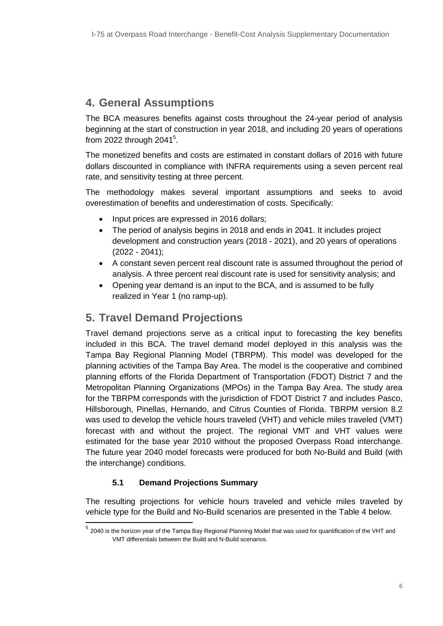## <span id="page-6-0"></span>**4. General Assumptions**

The BCA measures benefits against costs throughout the 24-year period of analysis beginning at the start of construction in year 2018, and including 20 years of operations from 2022 through 2041<sup>5</sup>.

The monetized benefits and costs are estimated in constant dollars of 2016 with future dollars discounted in compliance with INFRA requirements using a seven percent real rate, and sensitivity testing at three percent.

The methodology makes several important assumptions and seeks to avoid overestimation of benefits and underestimation of costs. Specifically:

- Input prices are expressed in 2016 dollars;
- The period of analysis begins in 2018 and ends in 2041. It includes project development and construction years (2018 - 2021), and 20 years of operations (2022 - 2041);
- A constant seven percent real discount rate is assumed throughout the period of analysis. A three percent real discount rate is used for sensitivity analysis; and
- Opening year demand is an input to the BCA, and is assumed to be fully realized in Year 1 (no ramp-up).

## <span id="page-6-1"></span>**5. Travel Demand Projections**

Travel demand projections serve as a critical input to forecasting the key benefits included in this BCA. The travel demand model deployed in this analysis was the Tampa Bay Regional Planning Model (TBRPM). This model was developed for the planning activities of the Tampa Bay Area. The model is the cooperative and combined planning efforts of the Florida Department of Transportation (FDOT) District 7 and the Metropolitan Planning Organizations (MPOs) in the Tampa Bay Area. The study area for the TBRPM corresponds with the jurisdiction of FDOT District 7 and includes Pasco, Hillsborough, Pinellas, Hernando, and Citrus Counties of Florida. TBRPM version 8.2 was used to develop the vehicle hours traveled (VHT) and vehicle miles traveled (VMT) forecast with and without the project. The regional VMT and VHT values were estimated for the base year 2010 without the proposed Overpass Road interchange. The future year 2040 model forecasts were produced for both No-Build and Build (with the interchange) conditions.

## **5.1 Demand Projections Summary**

The resulting projections for vehicle hours traveled and vehicle miles traveled by vehicle type for the Build and No-Build scenarios are presented in the Table 4 below.

 5 2040 is the horizon year of the Tampa Bay Regional Planning Model that was used for quantification of the VHT and VMT differentials between the Build and N-Build scenarios.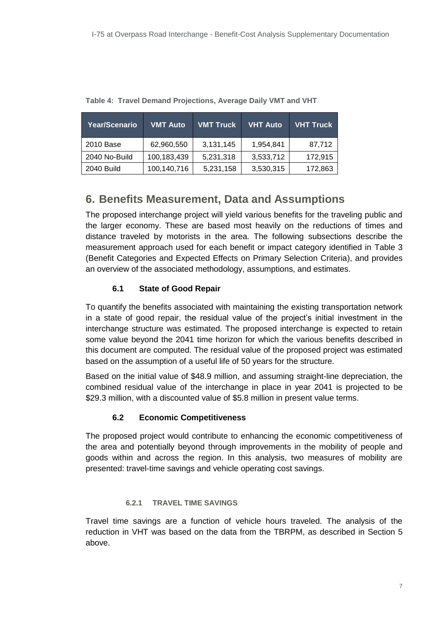| Year/Scenario | <b>VMT Auto</b> | <b>VMT Truck</b> | VHT Auto  | <b>VHT Truck</b> |
|---------------|-----------------|------------------|-----------|------------------|
| 2010 Base     | 62,960,550      | 3,131,145        | 1,954,841 | 87,712           |
| 2040 No-Build | 100,183,439     | 5,231,318        | 3,533,712 | 172,915          |
| 2040 Build    | 100,140,716     | 5,231,158        | 3,530,315 | 172,863          |

**Table 4: Travel Demand Projections, Average Daily VMT and VHT**

# <span id="page-7-0"></span>**6. Benefits Measurement, Data and Assumptions**

The proposed interchange project will yield various benefits for the traveling public and the larger economy. These are based most heavily on the reductions of times and distance traveled by motorists in the area. The following subsections describe the measurement approach used for each benefit or impact category identified in Table 3 (Benefit Categories and Expected Effects on Primary Selection Criteria), and provides an overview of the associated methodology, assumptions, and estimates.

## **6.1 State of Good Repair**

To quantify the benefits associated with maintaining the existing transportation network in a state of good repair, the residual value of the project's initial investment in the interchange structure was estimated. The proposed interchange is expected to retain some value beyond the 2041 time horizon for which the various benefits described in this document are computed. The residual value of the proposed project was estimated based on the assumption of a useful life of 50 years for the structure.

Based on the initial value of \$48.9 million, and assuming straight-line depreciation, the combined residual value of the interchange in place in year 2041 is projected to be \$29.3 million, with a discounted value of \$5.8 million in present value terms.

## **6.2 Economic Competitiveness**

The proposed project would contribute to enhancing the economic competitiveness of the area and potentially beyond through improvements in the mobility of people and goods within and across the region. In this analysis, two measures of mobility are presented: travel-time savings and vehicle operating cost savings.

#### **6.2.1 TRAVEL TIME SAVINGS**

Travel time savings are a function of vehicle hours traveled. The analysis of the reduction in VHT was based on the data from the TBRPM, as described in Section 5 above.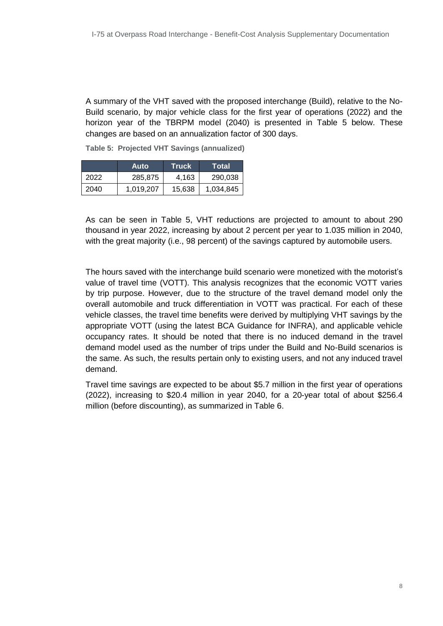A summary of the VHT saved with the proposed interchange (Build), relative to the No-Build scenario, by major vehicle class for the first year of operations (2022) and the horizon year of the TBRPM model (2040) is presented in Table 5 below. These changes are based on an annualization factor of 300 days.

|      | Auto      | Truck  | Total     |
|------|-----------|--------|-----------|
| 2022 | 285,875   | 4.163  | 290.038   |
| 2040 | 1,019,207 | 15,638 | 1,034,845 |

**Table 5: Projected VHT Savings (annualized)**

As can be seen in Table 5, VHT reductions are projected to amount to about 290 thousand in year 2022, increasing by about 2 percent per year to 1.035 million in 2040, with the great majority (i.e., 98 percent) of the savings captured by automobile users.

The hours saved with the interchange build scenario were monetized with the motorist's value of travel time (VOTT). This analysis recognizes that the economic VOTT varies by trip purpose. However, due to the structure of the travel demand model only the overall automobile and truck differentiation in VOTT was practical. For each of these vehicle classes, the travel time benefits were derived by multiplying VHT savings by the appropriate VOTT (using the latest BCA Guidance for INFRA), and applicable vehicle occupancy rates. It should be noted that there is no induced demand in the travel demand model used as the number of trips under the Build and No-Build scenarios is the same. As such, the results pertain only to existing users, and not any induced travel demand.

Travel time savings are expected to be about \$5.7 million in the first year of operations (2022), increasing to \$20.4 million in year 2040, for a 20-year total of about \$256.4 million (before discounting), as summarized in Table 6.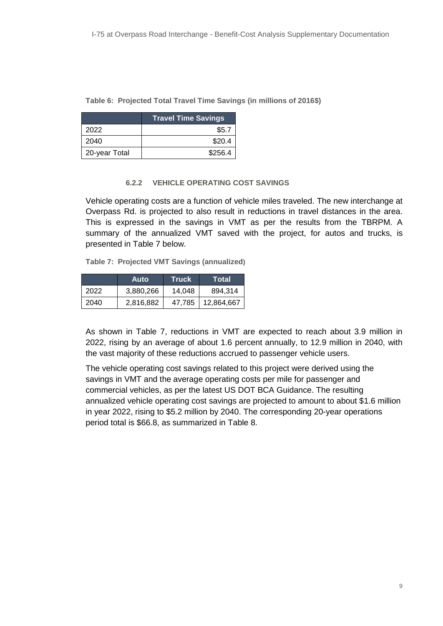#### **Table 6: Projected Total Travel Time Savings (in millions of 2016\$)**

|               | <b>Travel Time Savings</b> |
|---------------|----------------------------|
| 2022          | \$5.7                      |
| 2040          | \$20.4                     |
| 20-year Total | \$256.4                    |

#### **6.2.2 VEHICLE OPERATING COST SAVINGS**

Vehicle operating costs are a function of vehicle miles traveled. The new interchange at Overpass Rd. is projected to also result in reductions in travel distances in the area. This is expressed in the savings in VMT as per the results from the TBRPM. A summary of the annualized VMT saved with the project, for autos and trucks, is presented in Table 7 below.

**Table 7: Projected VMT Savings (annualized)**

|      | Auto      | <b>Truck</b> ' | Total      |
|------|-----------|----------------|------------|
| 2022 | 3,880,266 | 14.048         | 894,314    |
| 2040 | 2,816,882 | 47,785         | 12,864,667 |

As shown in Table 7, reductions in VMT are expected to reach about 3.9 million in 2022, rising by an average of about 1.6 percent annually, to 12.9 million in 2040, with the vast majority of these reductions accrued to passenger vehicle users.

The vehicle operating cost savings related to this project were derived using the savings in VMT and the average operating costs per mile for passenger and commercial vehicles, as per the latest US DOT BCA Guidance. The resulting annualized vehicle operating cost savings are projected to amount to about \$1.6 million in year 2022, rising to \$5.2 million by 2040. The corresponding 20-year operations period total is \$66.8, as summarized in Table 8.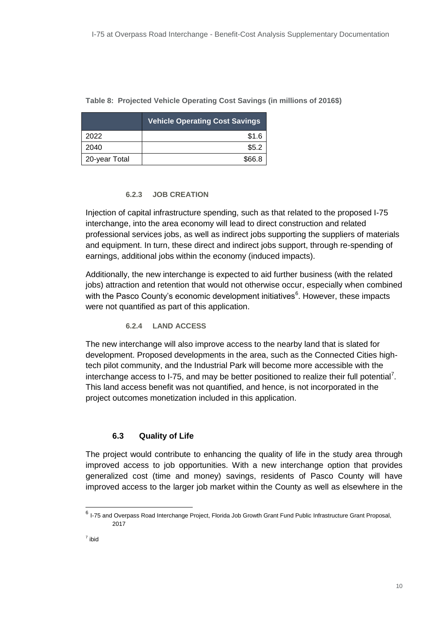|               | <b>Vehicle Operating Cost Savings</b> |  |  |
|---------------|---------------------------------------|--|--|
| 2022          | \$1.6                                 |  |  |
| 2040          | \$5.2                                 |  |  |
| 20-year Total | \$66.8                                |  |  |

#### **Table 8: Projected Vehicle Operating Cost Savings (in millions of 2016\$)**

#### **6.2.3 JOB CREATION**

Injection of capital infrastructure spending, such as that related to the proposed I-75 interchange, into the area economy will lead to direct construction and related professional services jobs, as well as indirect jobs supporting the suppliers of materials and equipment. In turn, these direct and indirect jobs support, through re-spending of earnings, additional jobs within the economy (induced impacts).

Additionally, the new interchange is expected to aid further business (with the related jobs) attraction and retention that would not otherwise occur, especially when combined with the Pasco County's economic development initiatives<sup>6</sup>. However, these impacts were not quantified as part of this application.

#### **6.2.4 LAND ACCESS**

The new interchange will also improve access to the nearby land that is slated for development. Proposed developments in the area, such as the Connected Cities hightech pilot community, and the Industrial Park will become more accessible with the interchange access to I-75, and may be better positioned to realize their full potential<sup>7</sup>. This land access benefit was not quantified, and hence, is not incorporated in the project outcomes monetization included in this application.

## **6.3 Quality of Life**

The project would contribute to enhancing the quality of life in the study area through improved access to job opportunities. With a new interchange option that provides generalized cost (time and money) savings, residents of Pasco County will have improved access to the larger job market within the County as well as elsewhere in the

 6 I-75 and Overpass Road Interchange Project, Florida Job Growth Grant Fund Public Infrastructure Grant Proposal, 2017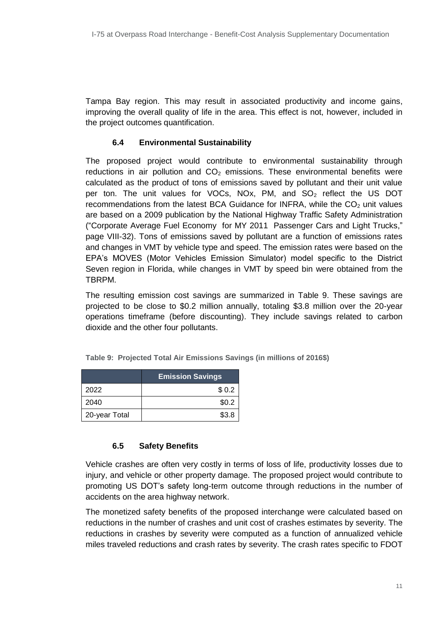Tampa Bay region. This may result in associated productivity and income gains, improving the overall quality of life in the area. This effect is not, however, included in the project outcomes quantification.

#### **6.4 Environmental Sustainability**

The proposed project would contribute to environmental sustainability through reductions in air pollution and  $CO<sub>2</sub>$  emissions. These environmental benefits were calculated as the product of tons of emissions saved by pollutant and their unit value per ton. The unit values for VOCs, NOx, PM, and SO<sub>2</sub> reflect the US DOT recommendations from the latest BCA Guidance for INFRA, while the  $CO<sub>2</sub>$  unit values are based on a 2009 publication by the National Highway Traffic Safety Administration ("Corporate Average Fuel Economy for MY 2011 Passenger Cars and Light Trucks," page VIII-32). Tons of emissions saved by pollutant are a function of emissions rates and changes in VMT by vehicle type and speed. The emission rates were based on the EPA's MOVES (Motor Vehicles Emission Simulator) model specific to the District Seven region in Florida, while changes in VMT by speed bin were obtained from the TBRPM.

The resulting emission cost savings are summarized in Table 9. These savings are projected to be close to \$0.2 million annually, totaling \$3.8 million over the 20-year operations timeframe (before discounting). They include savings related to carbon dioxide and the other four pollutants.

|               | <b>Emission Savings</b> |  |
|---------------|-------------------------|--|
| 2022          | \$0.2                   |  |
| 2040          | \$0.2                   |  |
| 20-year Total | \$3.8                   |  |

**Table 9: Projected Total Air Emissions Savings (in millions of 2016\$)**

#### **6.5 Safety Benefits**

Vehicle crashes are often very costly in terms of loss of life, productivity losses due to injury, and vehicle or other property damage. The proposed project would contribute to promoting US DOT's safety long-term outcome through reductions in the number of accidents on the area highway network.

The monetized safety benefits of the proposed interchange were calculated based on reductions in the number of crashes and unit cost of crashes estimates by severity. The reductions in crashes by severity were computed as a function of annualized vehicle miles traveled reductions and crash rates by severity. The crash rates specific to FDOT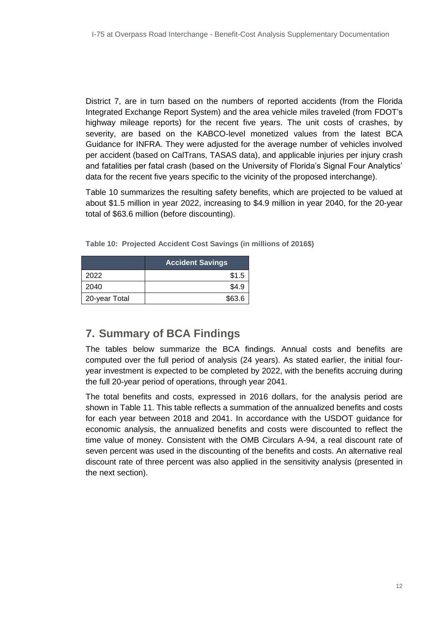District 7, are in turn based on the numbers of reported accidents (from the Florida Integrated Exchange Report System) and the area vehicle miles traveled (from FDOT's highway mileage reports) for the recent five years. The unit costs of crashes, by severity, are based on the KABCO-level monetized values from the latest BCA Guidance for INFRA. They were adjusted for the average number of vehicles involved per accident (based on CalTrans, TASAS data), and applicable injuries per injury crash and fatalities per fatal crash (based on the University of Florida's Signal Four Analytics' data for the recent five years specific to the vicinity of the proposed interchange).

Table 10 summarizes the resulting safety benefits, which are projected to be valued at about \$1.5 million in year 2022, increasing to \$4.9 million in year 2040, for the 20-year total of \$63.6 million (before discounting).

**Table 10: Projected Accident Cost Savings (in millions of 2016\$)**

|               | <b>Accident Savings</b> |
|---------------|-------------------------|
| 2022          | \$1.5                   |
| 2040          | \$4.9                   |
| 20-year Total | \$63.6                  |

# <span id="page-12-0"></span>**7. Summary of BCA Findings**

The tables below summarize the BCA findings. Annual costs and benefits are computed over the full period of analysis (24 years). As stated earlier, the initial fouryear investment is expected to be completed by 2022, with the benefits accruing during the full 20-year period of operations, through year 2041.

The total benefits and costs, expressed in 2016 dollars, for the analysis period are shown in Table 11. This table reflects a summation of the annualized benefits and costs for each year between 2018 and 2041. In accordance with the USDOT guidance for economic analysis, the annualized benefits and costs were discounted to reflect the time value of money. Consistent with the OMB Circulars A-94, a real discount rate of seven percent was used in the discounting of the benefits and costs. An alternative real discount rate of three percent was also applied in the sensitivity analysis (presented in the next section).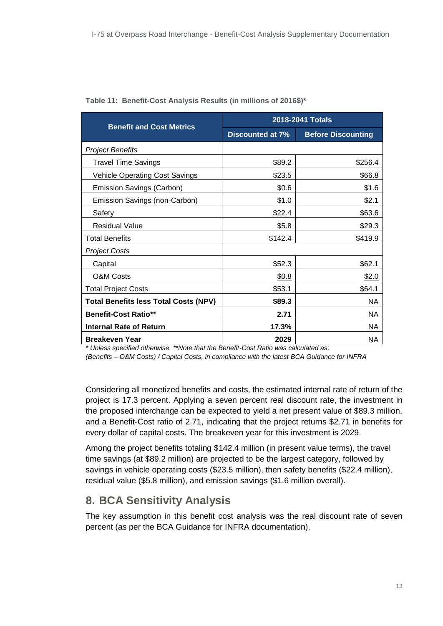|                                              | 2018-2041 Totals |                           |  |  |
|----------------------------------------------|------------------|---------------------------|--|--|
| <b>Benefit and Cost Metrics</b>              | Discounted at 7% | <b>Before Discounting</b> |  |  |
| <b>Project Benefits</b>                      |                  |                           |  |  |
| <b>Travel Time Savings</b>                   | \$89.2           | \$256.4                   |  |  |
| <b>Vehicle Operating Cost Savings</b>        | \$23.5           | \$66.8                    |  |  |
| Emission Savings (Carbon)                    | \$0.6            | \$1.6                     |  |  |
| Emission Savings (non-Carbon)                | \$1.0            | \$2.1                     |  |  |
| Safety                                       | \$22.4           | \$63.6                    |  |  |
| <b>Residual Value</b>                        | \$5.8            | \$29.3                    |  |  |
| <b>Total Benefits</b>                        | \$142.4          | \$419.9                   |  |  |
| <b>Project Costs</b>                         |                  |                           |  |  |
| Capital                                      | \$52.3           | \$62.1                    |  |  |
| <b>O&amp;M Costs</b>                         | \$0.8            | \$2.0                     |  |  |
| <b>Total Project Costs</b>                   | \$53.1           | \$64.1                    |  |  |
| <b>Total Benefits less Total Costs (NPV)</b> | \$89.3           | NА                        |  |  |
| <b>Benefit-Cost Ratio**</b>                  | 2.71             | NА                        |  |  |
| <b>Internal Rate of Return</b>               | 17.3%            | NA.                       |  |  |
| <b>Breakeven Year</b>                        | 2029             | NA.                       |  |  |

| Table 11: Benefit-Cost Analysis Results (in millions of 2016\$)* |  |  |  |
|------------------------------------------------------------------|--|--|--|
|                                                                  |  |  |  |

*\* Unless specified otherwise. \*\*Note that the Benefit-Cost Ratio was calculated as:* 

*(Benefits – O&M Costs) / Capital Costs, in compliance with the latest BCA Guidance for INFRA*

Considering all monetized benefits and costs, the estimated internal rate of return of the project is 17.3 percent. Applying a seven percent real discount rate, the investment in the proposed interchange can be expected to yield a net present value of \$89.3 million, and a Benefit-Cost ratio of 2.71, indicating that the project returns \$2.71 in benefits for every dollar of capital costs. The breakeven year for this investment is 2029.

Among the project benefits totaling \$142.4 million (in present value terms), the travel time savings (at \$89.2 million) are projected to be the largest category, followed by savings in vehicle operating costs (\$23.5 million), then safety benefits (\$22.4 million), residual value (\$5.8 million), and emission savings (\$1.6 million overall).

# <span id="page-13-0"></span>**8. BCA Sensitivity Analysis**

The key assumption in this benefit cost analysis was the real discount rate of seven percent (as per the BCA Guidance for INFRA documentation).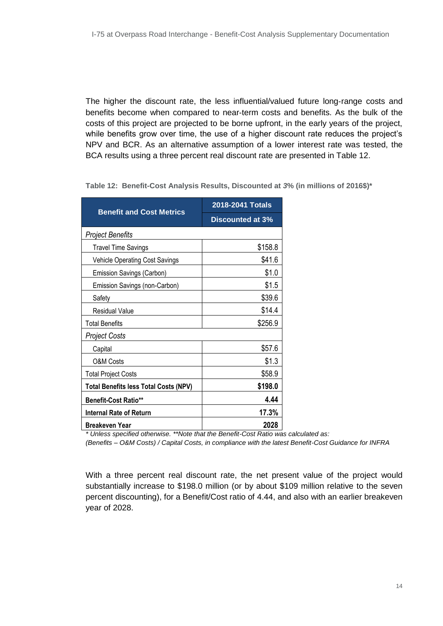The higher the discount rate, the less influential/valued future long-range costs and benefits become when compared to near‐term costs and benefits. As the bulk of the costs of this project are projected to be borne upfront, in the early years of the project, while benefits grow over time, the use of a higher discount rate reduces the project's NPV and BCR. As an alternative assumption of a lower interest rate was tested, the BCA results using a three percent real discount rate are presented in Table 12.

| <b>Benefit and Cost Metrics</b>              | 2018-2041 Totals |  |  |  |  |
|----------------------------------------------|------------------|--|--|--|--|
|                                              | Discounted at 3% |  |  |  |  |
| <b>Project Benefits</b>                      |                  |  |  |  |  |
| <b>Travel Time Savings</b>                   | \$158.8          |  |  |  |  |
| <b>Vehicle Operating Cost Savings</b>        | \$41.6           |  |  |  |  |
| Emission Savings (Carbon)                    | \$1.0            |  |  |  |  |
| Emission Savings (non-Carbon)                | \$1.5            |  |  |  |  |
| Safety                                       | \$39.6           |  |  |  |  |
| <b>Residual Value</b>                        | \$14.4           |  |  |  |  |
| <b>Total Benefits</b>                        | \$256.9          |  |  |  |  |
| Project Costs                                |                  |  |  |  |  |
| Capital                                      | \$57.6           |  |  |  |  |
| <b>O&amp;M Costs</b>                         | \$1.3            |  |  |  |  |
| <b>Total Project Costs</b>                   | \$58.9           |  |  |  |  |
| <b>Total Benefits less Total Costs (NPV)</b> | \$198.0          |  |  |  |  |
| <b>Benefit-Cost Ratio**</b>                  | 4.44             |  |  |  |  |
| Internal Rate of Return                      | 17.3%            |  |  |  |  |
| <b>Breakeven Year</b>                        | 2028             |  |  |  |  |

**Table 12: Benefit-Cost Analysis Results, Discounted at** *3***% (in millions of 2016\$)\***

*\* Unless specified otherwise. \*\*Note that the Benefit-Cost Ratio was calculated as:* 

*(Benefits – O&M Costs) / Capital Costs, in compliance with the latest Benefit-Cost Guidance for INFRA*

With a three percent real discount rate, the net present value of the project would substantially increase to \$198.0 million (or by about \$109 million relative to the seven percent discounting), for a Benefit/Cost ratio of 4.44, and also with an earlier breakeven year of 2028.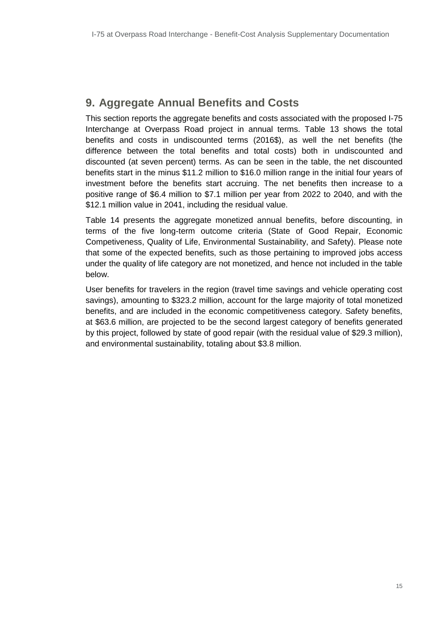# <span id="page-15-0"></span>**9. Aggregate Annual Benefits and Costs**

This section reports the aggregate benefits and costs associated with the proposed I-75 Interchange at Overpass Road project in annual terms. Table 13 shows the total benefits and costs in undiscounted terms (2016\$), as well the net benefits (the difference between the total benefits and total costs) both in undiscounted and discounted (at seven percent) terms. As can be seen in the table, the net discounted benefits start in the minus \$11.2 million to \$16.0 million range in the initial four years of investment before the benefits start accruing. The net benefits then increase to a positive range of \$6.4 million to \$7.1 million per year from 2022 to 2040, and with the \$12.1 million value in 2041, including the residual value.

Table 14 presents the aggregate monetized annual benefits, before discounting, in terms of the five long-term outcome criteria (State of Good Repair, Economic Competiveness, Quality of Life, Environmental Sustainability, and Safety). Please note that some of the expected benefits, such as those pertaining to improved jobs access under the quality of life category are not monetized, and hence not included in the table below.

User benefits for travelers in the region (travel time savings and vehicle operating cost savings), amounting to \$323.2 million, account for the large majority of total monetized benefits, and are included in the economic competitiveness category. Safety benefits, at \$63.6 million, are projected to be the second largest category of benefits generated by this project, followed by state of good repair (with the residual value of \$29.3 million), and environmental sustainability, totaling about \$3.8 million.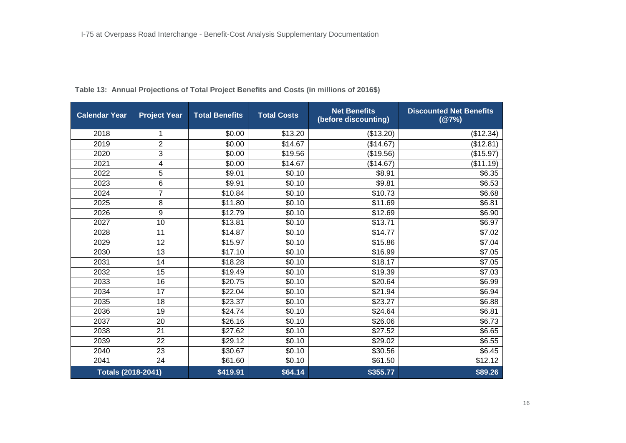| <b>Calendar Year</b>      | <b>Project Year</b> | <b>Total Benefits</b> | <b>Total Costs</b> | <b>Net Benefits</b><br>(before discounting) | <b>Discounted Net Benefits</b><br>(@7%) |
|---------------------------|---------------------|-----------------------|--------------------|---------------------------------------------|-----------------------------------------|
| 2018                      | 1                   | \$0.00                | \$13.20            | (\$13.20)                                   | (\$12.34)                               |
| 2019                      | $\overline{2}$      | \$0.00                | \$14.67            | (\$14.67)                                   | (\$12.81)                               |
| 2020                      | 3                   | \$0.00                | \$19.56            | (\$19.56)                                   | (\$15.97)                               |
| 2021                      | 4                   | \$0.00                | \$14.67            | (\$14.67)                                   | (\$11.19)                               |
| 2022                      | 5                   | \$9.01                | \$0.10             | \$8.91                                      | \$6.35                                  |
| 2023                      | 6                   | \$9.91                | \$0.10             | \$9.81                                      | \$6.53                                  |
| 2024                      | $\overline{7}$      | \$10.84               | \$0.10             | \$10.73                                     | \$6.68                                  |
| 2025                      | 8                   | \$11.80               | \$0.10             | \$11.69                                     | \$6.81                                  |
| 2026                      | 9                   | \$12.79               | \$0.10             | \$12.69                                     | \$6.90                                  |
| 2027                      | $\overline{10}$     | \$13.81               | \$0.10             | \$13.71                                     | \$6.97                                  |
| 2028                      | 11                  | \$14.87               | \$0.10             | \$14.77                                     | \$7.02                                  |
| 2029                      | 12                  | \$15.97               | \$0.10             | \$15.86                                     | \$7.04                                  |
| 2030                      | 13                  | \$17.10               | \$0.10             | \$16.99                                     | \$7.05                                  |
| 2031                      | 14                  | \$18.28               | \$0.10             | \$18.17                                     | \$7.05                                  |
| 2032                      | 15                  | \$19.49               | \$0.10             | \$19.39                                     | \$7.03                                  |
| 2033                      | 16                  | \$20.75               | \$0.10             | \$20.64                                     | \$6.99                                  |
| 2034                      | $\overline{17}$     | \$22.04               | \$0.10             | \$21.94                                     | \$6.94                                  |
| 2035                      | 18                  | \$23.37               | \$0.10             | \$23.27                                     | \$6.88                                  |
| 2036                      | 19                  | \$24.74               | \$0.10             | \$24.64                                     | \$6.81                                  |
| 2037                      | 20                  | \$26.16               | \$0.10             | \$26.06                                     | \$6.73                                  |
| 2038                      | 21                  | \$27.62               | \$0.10             | \$27.52                                     | \$6.65                                  |
| 2039                      | 22                  | \$29.12               | \$0.10             | \$29.02                                     | \$6.55                                  |
| 2040                      | 23                  | \$30.67               | \$0.10             | \$30.56                                     | \$6.45                                  |
| 2041                      | 24                  | \$61.60               | \$0.10             | \$61.50                                     | \$12.12                                 |
| <b>Totals (2018-2041)</b> |                     | \$419.91              | \$64.14            | \$355.77                                    | \$89.26                                 |

#### **Table 13: Annual Projections of Total Project Benefits and Costs (in millions of 2016\$)**